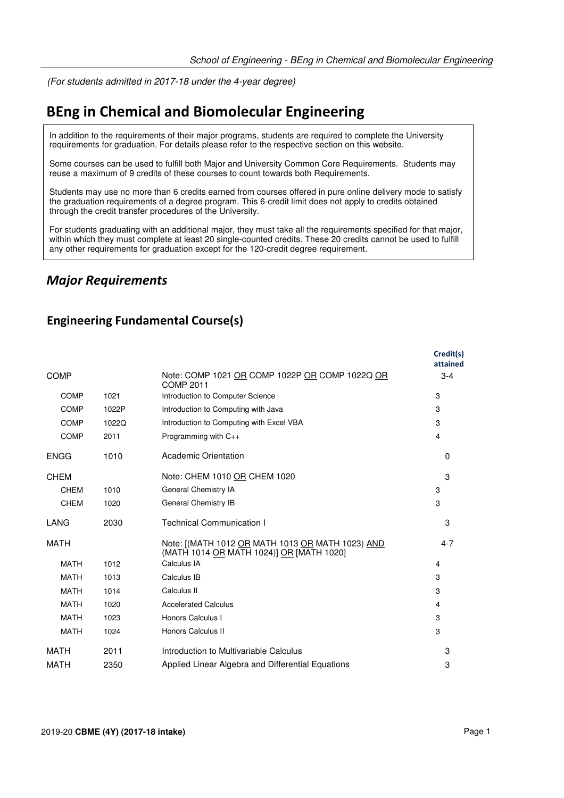(For students admitted in 2017-18 under the 4-year degree)

# **BEng in Chemical and Biomolecular Engineering**

In addition to the requirements of their major programs, students are required to complete the University requirements for graduation. For details please refer to the respective section on this website.

Some courses can be used to fulfill both Major and University Common Core Requirements. Students may reuse a maximum of 9 credits of these courses to count towards both Requirements.

Students may use no more than 6 credits earned from courses offered in pure online delivery mode to satisfy the graduation requirements of a degree program. This 6-credit limit does not apply to credits obtained through the credit transfer procedures of the University.

For students graduating with an additional major, they must take all the requirements specified for that major, within which they must complete at least 20 single-counted credits. These 20 credits cannot be used to fulfill any other requirements for graduation except for the 120-credit degree requirement.

### *Major Requirements*

### **Engineering Fundamental Course(s)**

|             |       |                                                                                              | Credit(s)<br>attained |
|-------------|-------|----------------------------------------------------------------------------------------------|-----------------------|
| <b>COMP</b> |       | Note: COMP 1021 OR COMP 1022P OR COMP 1022Q OR<br><b>COMP 2011</b>                           | $3 - 4$               |
| <b>COMP</b> | 1021  | Introduction to Computer Science                                                             | 3                     |
| <b>COMP</b> | 1022P | Introduction to Computing with Java                                                          | 3                     |
| COMP        | 1022Q | Introduction to Computing with Excel VBA                                                     | 3                     |
| <b>COMP</b> | 2011  | Programming with C++                                                                         | $\overline{4}$        |
| <b>ENGG</b> | 1010  | <b>Academic Orientation</b>                                                                  | $\Omega$              |
| <b>CHEM</b> |       | Note: CHEM 1010 OR CHEM 1020                                                                 | 3                     |
| <b>CHEM</b> | 1010  | <b>General Chemistry IA</b>                                                                  | 3                     |
| <b>CHEM</b> | 1020  | General Chemistry IB                                                                         | 3                     |
| LANG        | 2030  | <b>Technical Communication I</b>                                                             | 3                     |
| <b>MATH</b> |       | Note: [(MATH 1012 OR MATH 1013 OR MATH 1023) AND<br>(MATH 1014 OR MATH 1024)] OR [MATH 1020] | $4 - 7$               |
| <b>MATH</b> | 1012  | Calculus IA                                                                                  | 4                     |
| <b>MATH</b> | 1013  | Calculus IB                                                                                  | 3                     |
| <b>MATH</b> | 1014  | Calculus II                                                                                  | 3                     |
| <b>MATH</b> | 1020  | <b>Accelerated Calculus</b>                                                                  | 4                     |
| <b>MATH</b> | 1023  | Honors Calculus I                                                                            | 3                     |
| <b>MATH</b> | 1024  | Honors Calculus II                                                                           | 3                     |
| MATH        | 2011  | Introduction to Multivariable Calculus                                                       | 3                     |
| <b>MATH</b> | 2350  | Applied Linear Algebra and Differential Equations                                            | 3                     |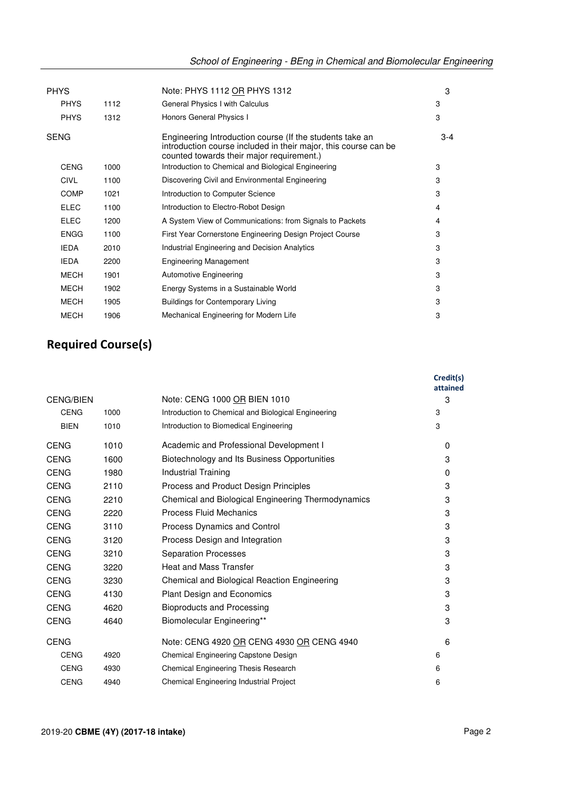| <b>PHYS</b> |      | Note: PHYS 1112 OR PHYS 1312                                                                                                                                             | 3     |
|-------------|------|--------------------------------------------------------------------------------------------------------------------------------------------------------------------------|-------|
| <b>PHYS</b> | 1112 | General Physics I with Calculus                                                                                                                                          | 3     |
| <b>PHYS</b> | 1312 | Honors General Physics I                                                                                                                                                 | 3     |
| <b>SENG</b> |      | Engineering Introduction course (If the students take an<br>introduction course included in their major, this course can be<br>counted towards their major requirement.) | $3-4$ |
| <b>CENG</b> | 1000 | Introduction to Chemical and Biological Engineering                                                                                                                      | 3     |
| <b>CIVL</b> | 1100 | Discovering Civil and Environmental Engineering                                                                                                                          | 3     |
| <b>COMP</b> | 1021 | Introduction to Computer Science                                                                                                                                         | 3     |
| <b>ELEC</b> | 1100 | Introduction to Electro-Robot Design                                                                                                                                     | 4     |
| <b>ELEC</b> | 1200 | A System View of Communications: from Signals to Packets                                                                                                                 | 4     |
| <b>ENGG</b> | 1100 | First Year Cornerstone Engineering Design Project Course                                                                                                                 | 3     |
| <b>IEDA</b> | 2010 | Industrial Engineering and Decision Analytics                                                                                                                            | 3     |
| <b>IEDA</b> | 2200 | <b>Engineering Management</b>                                                                                                                                            | 3     |
| <b>MECH</b> | 1901 | Automotive Engineering                                                                                                                                                   | 3     |
| <b>MECH</b> | 1902 | Energy Systems in a Sustainable World                                                                                                                                    | 3     |
| <b>MECH</b> | 1905 | <b>Buildings for Contemporary Living</b>                                                                                                                                 | 3     |
| <b>MECH</b> | 1906 | Mechanical Engineering for Modern Life                                                                                                                                   | 3     |

## **Required Course(s)**

|                  |      |                                                     | Credit(s)<br>attained |
|------------------|------|-----------------------------------------------------|-----------------------|
| <b>CENG/BIEN</b> |      | Note: CENG 1000 OR BIEN 1010                        | 3                     |
| <b>CENG</b>      | 1000 | Introduction to Chemical and Biological Engineering | 3                     |
| <b>BIEN</b>      | 1010 | Introduction to Biomedical Engineering              | 3                     |
| <b>CENG</b>      | 1010 | Academic and Professional Development I             | $\Omega$              |
| CENG             | 1600 | Biotechnology and Its Business Opportunities        | 3                     |
| <b>CENG</b>      | 1980 | Industrial Training                                 | $\Omega$              |
| <b>CENG</b>      | 2110 | Process and Product Design Principles               | 3                     |
| <b>CENG</b>      | 2210 | Chemical and Biological Engineering Thermodynamics  | 3                     |
| <b>CENG</b>      | 2220 | <b>Process Fluid Mechanics</b>                      | 3                     |
| <b>CENG</b>      | 3110 | Process Dynamics and Control                        | 3                     |
| <b>CENG</b>      | 3120 | Process Design and Integration                      | 3                     |
| <b>CENG</b>      | 3210 | <b>Separation Processes</b>                         | 3                     |
| <b>CENG</b>      | 3220 | <b>Heat and Mass Transfer</b>                       | 3                     |
| <b>CENG</b>      | 3230 | Chemical and Biological Reaction Engineering        | 3                     |
| <b>CENG</b>      | 4130 | <b>Plant Design and Economics</b>                   | 3                     |
| <b>CENG</b>      | 4620 | <b>Bioproducts and Processing</b>                   | 3                     |
| <b>CENG</b>      | 4640 | Biomolecular Engineering**                          | 3                     |
| <b>CENG</b>      |      | Note: CENG 4920 OR CENG 4930 OR CENG 4940           | 6                     |
| <b>CENG</b>      | 4920 | Chemical Engineering Capstone Design                | 6                     |
| <b>CENG</b>      | 4930 | Chemical Engineering Thesis Research                | 6                     |
| <b>CENG</b>      | 4940 | Chemical Engineering Industrial Project             | 6                     |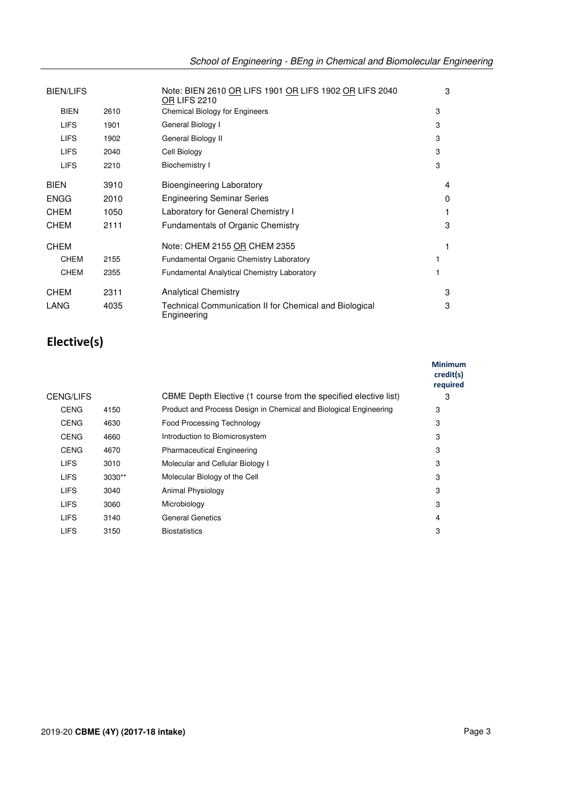| <b>BIEN/LIFS</b> |      | Note: BIEN 2610 OR LIFS 1901 OR LIFS 1902 OR LIFS 2040<br><b>OR LIFS 2210</b> | 3 |
|------------------|------|-------------------------------------------------------------------------------|---|
| <b>BIEN</b>      | 2610 | <b>Chemical Biology for Engineers</b>                                         | 3 |
| <b>LIFS</b>      | 1901 | General Biology I                                                             | 3 |
| <b>LIFS</b>      | 1902 | General Biology II                                                            | 3 |
| <b>LIFS</b>      | 2040 | Cell Biology                                                                  | 3 |
| <b>LIFS</b>      | 2210 | Biochemistry I                                                                | 3 |
| <b>BIEN</b>      | 3910 | Bioengineering Laboratory                                                     | 4 |
| <b>ENGG</b>      | 2010 | <b>Engineering Seminar Series</b>                                             | 0 |
| <b>CHEM</b>      | 1050 | Laboratory for General Chemistry I                                            |   |
| <b>CHEM</b>      | 2111 | <b>Fundamentals of Organic Chemistry</b>                                      | 3 |
| <b>CHEM</b>      |      | Note: CHEM 2155 OR CHEM 2355                                                  |   |
| <b>CHEM</b>      | 2155 | Fundamental Organic Chemistry Laboratory                                      |   |
| <b>CHEM</b>      | 2355 | <b>Fundamental Analytical Chemistry Laboratory</b>                            |   |
| <b>CHEM</b>      | 2311 | <b>Analytical Chemistry</b>                                                   | 3 |
| LANG             | 4035 | Technical Communication II for Chemical and Biological<br>Engineering         | 3 |

# **Elective(s)**

|             |          |                                                                   | <b>Minimum</b><br>credit(s)<br>required |
|-------------|----------|-------------------------------------------------------------------|-----------------------------------------|
| CENG/LIFS   |          | CBME Depth Elective (1 course from the specified elective list)   | 3                                       |
| <b>CENG</b> | 4150     | Product and Process Design in Chemical and Biological Engineering | 3                                       |
| <b>CENG</b> | 4630     | <b>Food Processing Technology</b>                                 | 3                                       |
| <b>CENG</b> | 4660     | Introduction to Biomicrosystem                                    | 3                                       |
| <b>CENG</b> | 4670     | <b>Pharmaceutical Engineering</b>                                 | 3                                       |
| <b>LIFS</b> | 3010     | Molecular and Cellular Biology I                                  | 3                                       |
| <b>LIFS</b> | $3030**$ | Molecular Biology of the Cell                                     | 3                                       |
| <b>LIFS</b> | 3040     | Animal Physiology                                                 | 3                                       |
| <b>LIFS</b> | 3060     | Microbiology                                                      | 3                                       |
| <b>LIFS</b> | 3140     | <b>General Genetics</b>                                           | 4                                       |
| <b>LIFS</b> | 3150     | <b>Biostatistics</b>                                              | 3                                       |
|             |          |                                                                   |                                         |